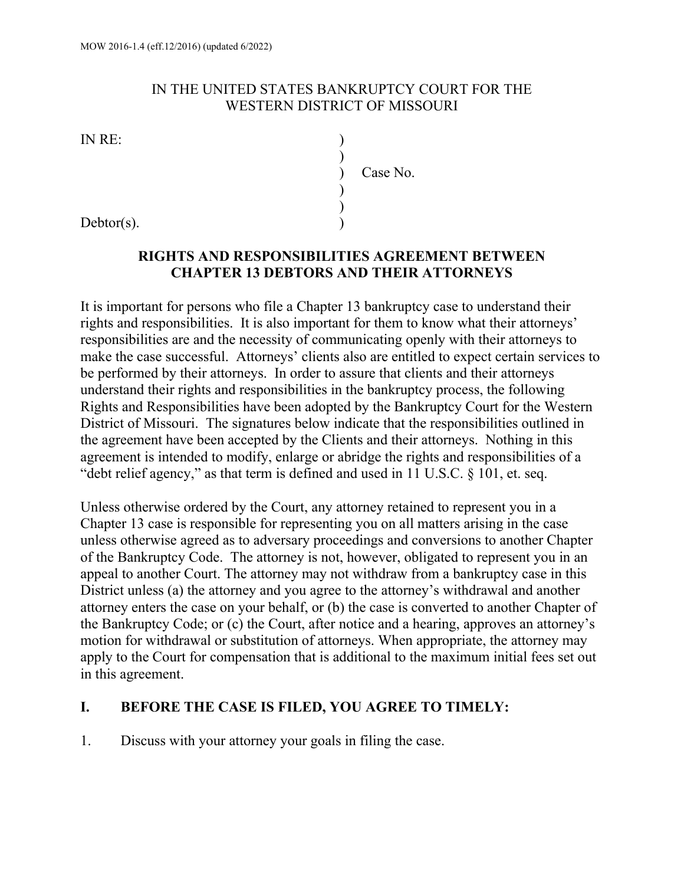#### IN THE UNITED STATES BANKRUPTCY COURT FOR THE WESTERN DISTRICT OF MISSOURI

IN RE: )

| IIN INE.  |          |
|-----------|----------|
|           |          |
|           | Case No. |
|           |          |
|           |          |
| Dathor(c) |          |

# Debtor(s).

#### **RIGHTS AND RESPONSIBILITIES AGREEMENT BETWEEN CHAPTER 13 DEBTORS AND THEIR ATTORNEYS**

It is important for persons who file a Chapter 13 bankruptcy case to understand their rights and responsibilities. It is also important for them to know what their attorneys' responsibilities are and the necessity of communicating openly with their attorneys to make the case successful. Attorneys' clients also are entitled to expect certain services to be performed by their attorneys. In order to assure that clients and their attorneys understand their rights and responsibilities in the bankruptcy process, the following Rights and Responsibilities have been adopted by the Bankruptcy Court for the Western District of Missouri. The signatures below indicate that the responsibilities outlined in the agreement have been accepted by the Clients and their attorneys. Nothing in this agreement is intended to modify, enlarge or abridge the rights and responsibilities of a "debt relief agency," as that term is defined and used in 11 U.S.C. § 101, et. seq.

Unless otherwise ordered by the Court, any attorney retained to represent you in a Chapter 13 case is responsible for representing you on all matters arising in the case unless otherwise agreed as to adversary proceedings and conversions to another Chapter of the Bankruptcy Code. The attorney is not, however, obligated to represent you in an appeal to another Court. The attorney may not withdraw from a bankruptcy case in this District unless (a) the attorney and you agree to the attorney's withdrawal and another attorney enters the case on your behalf, or (b) the case is converted to another Chapter of the Bankruptcy Code; or (c) the Court, after notice and a hearing, approves an attorney's motion for withdrawal or substitution of attorneys. When appropriate, the attorney may apply to the Court for compensation that is additional to the maximum initial fees set out in this agreement.

#### **I. BEFORE THE CASE IS FILED, YOU AGREE TO TIMELY:**

1. Discuss with your attorney your goals in filing the case.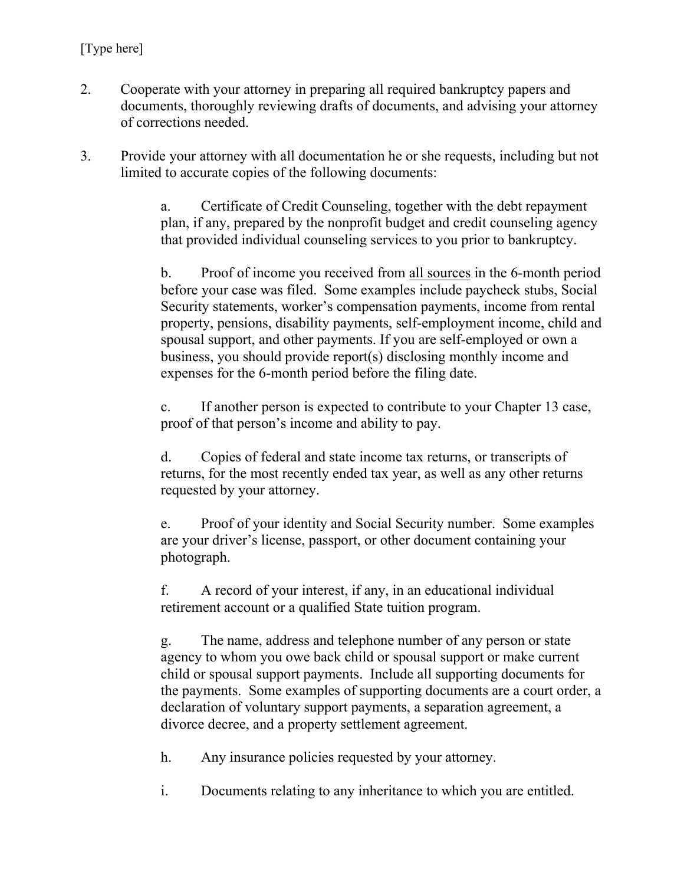- 2. Cooperate with your attorney in preparing all required bankruptcy papers and documents, thoroughly reviewing drafts of documents, and advising your attorney of corrections needed.
- 3. Provide your attorney with all documentation he or she requests, including but not limited to accurate copies of the following documents:

 a. Certificate of Credit Counseling, together with the debt repayment plan, if any, prepared by the nonprofit budget and credit counseling agency that provided individual counseling services to you prior to bankruptcy.

 b. Proof of income you received from all sources in the 6-month period before your case was filed. Some examples include paycheck stubs, Social Security statements, worker's compensation payments, income from rental property, pensions, disability payments, self-employment income, child and spousal support, and other payments. If you are self-employed or own a business, you should provide report(s) disclosing monthly income and expenses for the 6-month period before the filing date.

 c. If another person is expected to contribute to your Chapter 13 case, proof of that person's income and ability to pay.

 d. Copies of federal and state income tax returns, or transcripts of returns, for the most recently ended tax year, as well as any other returns requested by your attorney.

 e. Proof of your identity and Social Security number. Some examples are your driver's license, passport, or other document containing your photograph.

 f. A record of your interest, if any, in an educational individual retirement account or a qualified State tuition program.

 g. The name, address and telephone number of any person or state agency to whom you owe back child or spousal support or make current child or spousal support payments. Include all supporting documents for the payments. Some examples of supporting documents are a court order, a declaration of voluntary support payments, a separation agreement, a divorce decree, and a property settlement agreement.

h. Any insurance policies requested by your attorney.

i. Documents relating to any inheritance to which you are entitled.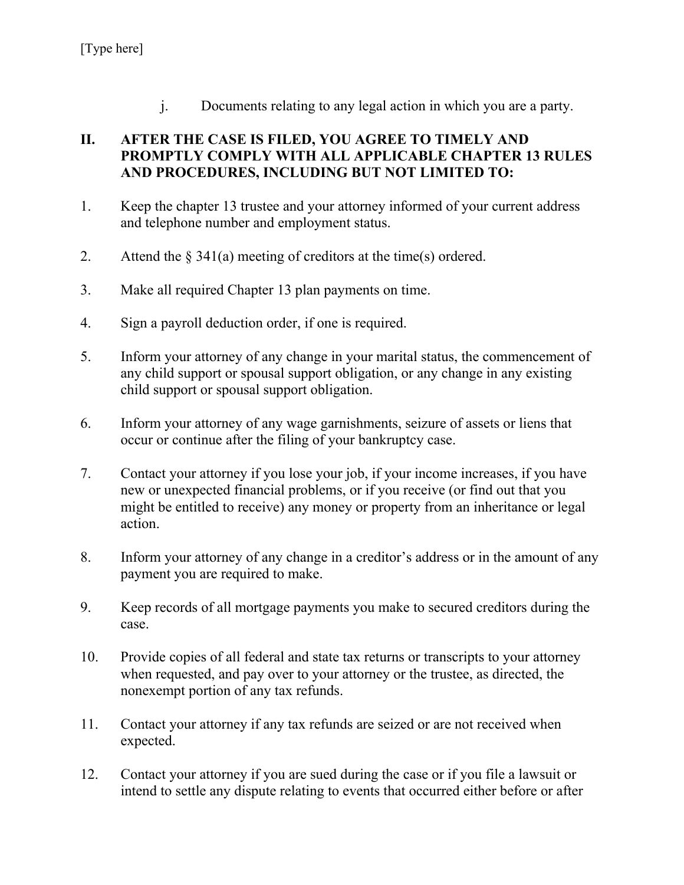j. Documents relating to any legal action in which you are a party.

## **II. AFTER THE CASE IS FILED, YOU AGREE TO TIMELY AND PROMPTLY COMPLY WITH ALL APPLICABLE CHAPTER 13 RULES AND PROCEDURES, INCLUDING BUT NOT LIMITED TO:**

- 1. Keep the chapter 13 trustee and your attorney informed of your current address and telephone number and employment status.
- 2. Attend the  $\S 341(a)$  meeting of creditors at the time(s) ordered.
- 3. Make all required Chapter 13 plan payments on time.
- 4. Sign a payroll deduction order, if one is required.
- 5. Inform your attorney of any change in your marital status, the commencement of any child support or spousal support obligation, or any change in any existing child support or spousal support obligation.
- 6. Inform your attorney of any wage garnishments, seizure of assets or liens that occur or continue after the filing of your bankruptcy case.
- 7. Contact your attorney if you lose your job, if your income increases, if you have new or unexpected financial problems, or if you receive (or find out that you might be entitled to receive) any money or property from an inheritance or legal action.
- 8. Inform your attorney of any change in a creditor's address or in the amount of any payment you are required to make.
- 9. Keep records of all mortgage payments you make to secured creditors during the case.
- 10. Provide copies of all federal and state tax returns or transcripts to your attorney when requested, and pay over to your attorney or the trustee, as directed, the nonexempt portion of any tax refunds.
- 11. Contact your attorney if any tax refunds are seized or are not received when expected.
- 12. Contact your attorney if you are sued during the case or if you file a lawsuit or intend to settle any dispute relating to events that occurred either before or after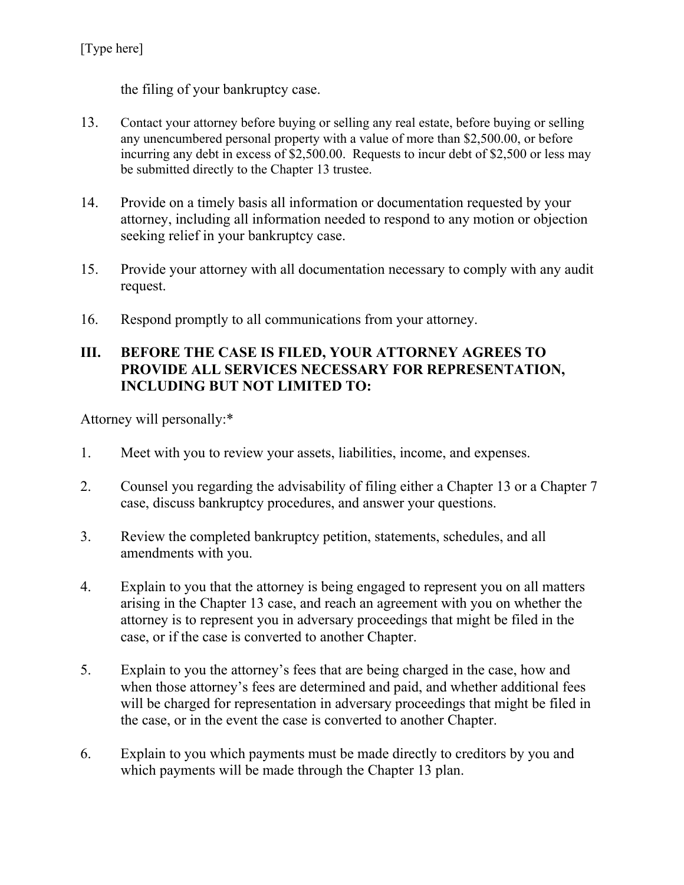the filing of your bankruptcy case.

- 13. Contact your attorney before buying or selling any real estate, before buying or selling any unencumbered personal property with a value of more than \$2,500.00, or before incurring any debt in excess of \$2,500.00. Requests to incur debt of \$2,500 or less may be submitted directly to the Chapter 13 trustee.
- 14. Provide on a timely basis all information or documentation requested by your attorney, including all information needed to respond to any motion or objection seeking relief in your bankruptcy case.
- 15. Provide your attorney with all documentation necessary to comply with any audit request.
- 16. Respond promptly to all communications from your attorney.

### **III. BEFORE THE CASE IS FILED, YOUR ATTORNEY AGREES TO PROVIDE ALL SERVICES NECESSARY FOR REPRESENTATION, INCLUDING BUT NOT LIMITED TO:**

Attorney will personally:\*

- 1. Meet with you to review your assets, liabilities, income, and expenses.
- 2. Counsel you regarding the advisability of filing either a Chapter 13 or a Chapter 7 case, discuss bankruptcy procedures, and answer your questions.
- 3. Review the completed bankruptcy petition, statements, schedules, and all amendments with you.
- 4. Explain to you that the attorney is being engaged to represent you on all matters arising in the Chapter 13 case, and reach an agreement with you on whether the attorney is to represent you in adversary proceedings that might be filed in the case, or if the case is converted to another Chapter.
- 5. Explain to you the attorney's fees that are being charged in the case, how and when those attorney's fees are determined and paid, and whether additional fees will be charged for representation in adversary proceedings that might be filed in the case, or in the event the case is converted to another Chapter.
- 6. Explain to you which payments must be made directly to creditors by you and which payments will be made through the Chapter 13 plan.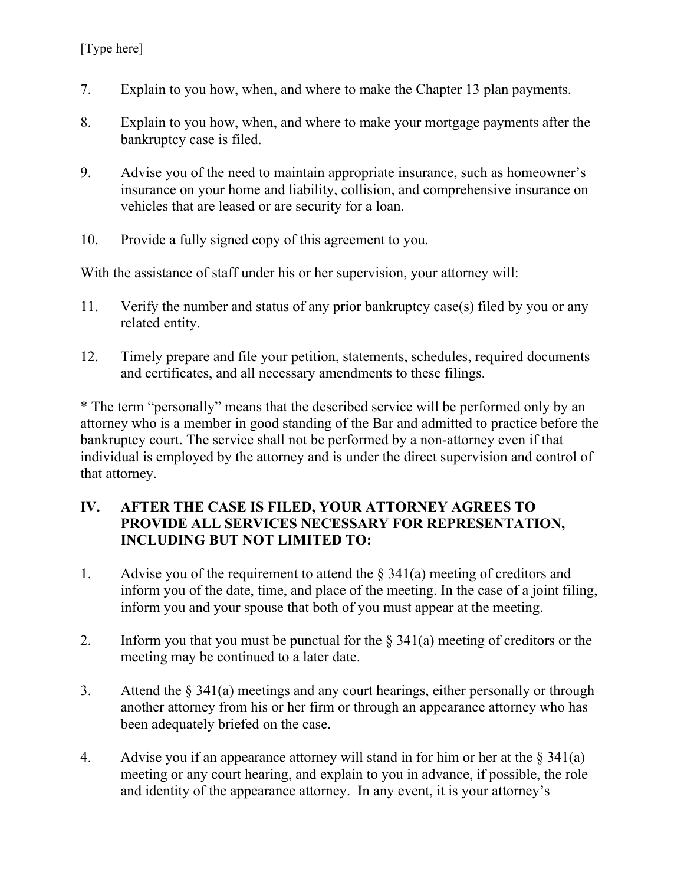- 7. Explain to you how, when, and where to make the Chapter 13 plan payments.
- 8. Explain to you how, when, and where to make your mortgage payments after the bankruptcy case is filed.
- 9. Advise you of the need to maintain appropriate insurance, such as homeowner's insurance on your home and liability, collision, and comprehensive insurance on vehicles that are leased or are security for a loan.
- 10. Provide a fully signed copy of this agreement to you.

With the assistance of staff under his or her supervision, your attorney will:

- 11. Verify the number and status of any prior bankruptcy case(s) filed by you or any related entity.
- 12. Timely prepare and file your petition, statements, schedules, required documents and certificates, and all necessary amendments to these filings.

\* The term "personally" means that the described service will be performed only by an attorney who is a member in good standing of the Bar and admitted to practice before the bankruptcy court. The service shall not be performed by a non-attorney even if that individual is employed by the attorney and is under the direct supervision and control of that attorney.

### **IV. AFTER THE CASE IS FILED, YOUR ATTORNEY AGREES TO PROVIDE ALL SERVICES NECESSARY FOR REPRESENTATION, INCLUDING BUT NOT LIMITED TO:**

- 1. Advise you of the requirement to attend the  $\S$  341(a) meeting of creditors and inform you of the date, time, and place of the meeting. In the case of a joint filing, inform you and your spouse that both of you must appear at the meeting.
- 2. Inform you that you must be punctual for the  $\S$  341(a) meeting of creditors or the meeting may be continued to a later date.
- 3. Attend the § 341(a) meetings and any court hearings, either personally or through another attorney from his or her firm or through an appearance attorney who has been adequately briefed on the case.
- 4. Advise you if an appearance attorney will stand in for him or her at the  $\S 341(a)$ meeting or any court hearing, and explain to you in advance, if possible, the role and identity of the appearance attorney. In any event, it is your attorney's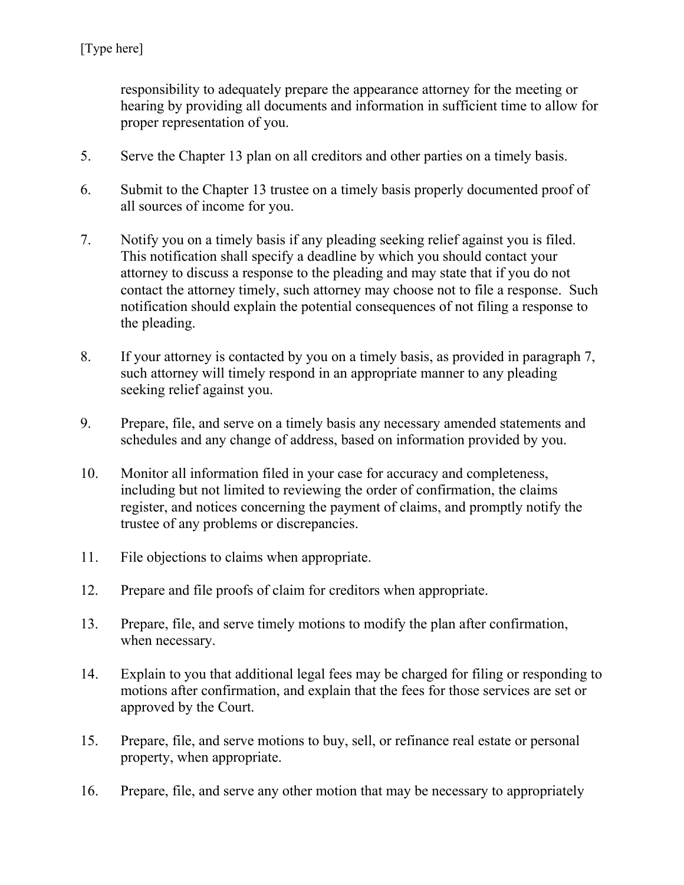responsibility to adequately prepare the appearance attorney for the meeting or hearing by providing all documents and information in sufficient time to allow for proper representation of you.

- 5. Serve the Chapter 13 plan on all creditors and other parties on a timely basis.
- 6. Submit to the Chapter 13 trustee on a timely basis properly documented proof of all sources of income for you.
- 7. Notify you on a timely basis if any pleading seeking relief against you is filed. This notification shall specify a deadline by which you should contact your attorney to discuss a response to the pleading and may state that if you do not contact the attorney timely, such attorney may choose not to file a response. Such notification should explain the potential consequences of not filing a response to the pleading.
- 8. If your attorney is contacted by you on a timely basis, as provided in paragraph 7, such attorney will timely respond in an appropriate manner to any pleading seeking relief against you.
- 9. Prepare, file, and serve on a timely basis any necessary amended statements and schedules and any change of address, based on information provided by you.
- 10. Monitor all information filed in your case for accuracy and completeness, including but not limited to reviewing the order of confirmation, the claims register, and notices concerning the payment of claims, and promptly notify the trustee of any problems or discrepancies.
- 11. File objections to claims when appropriate.
- 12. Prepare and file proofs of claim for creditors when appropriate.
- 13. Prepare, file, and serve timely motions to modify the plan after confirmation, when necessary.
- 14. Explain to you that additional legal fees may be charged for filing or responding to motions after confirmation, and explain that the fees for those services are set or approved by the Court.
- 15. Prepare, file, and serve motions to buy, sell, or refinance real estate or personal property, when appropriate.
- 16. Prepare, file, and serve any other motion that may be necessary to appropriately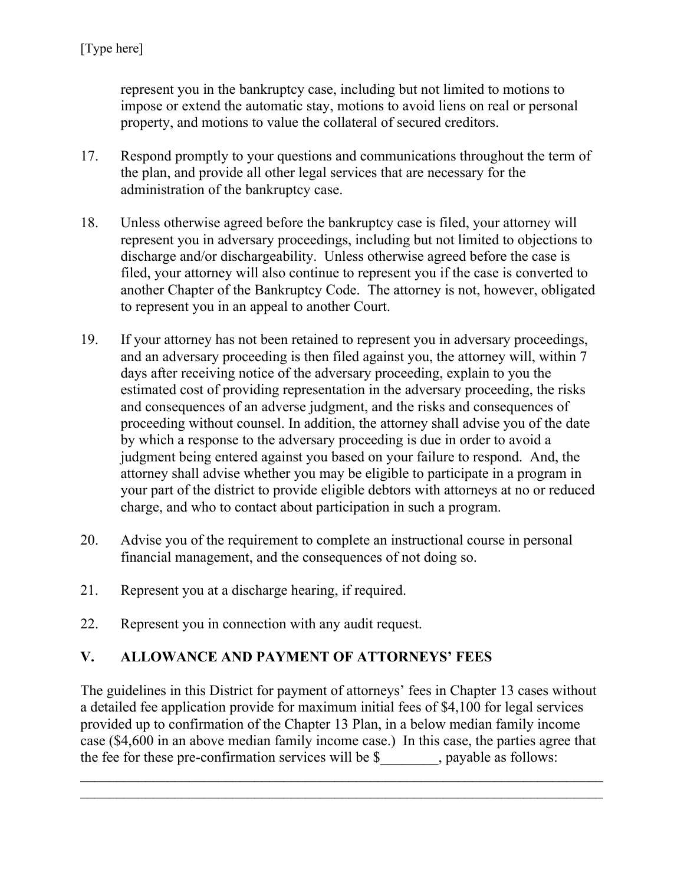represent you in the bankruptcy case, including but not limited to motions to impose or extend the automatic stay, motions to avoid liens on real or personal property, and motions to value the collateral of secured creditors.

- 17. Respond promptly to your questions and communications throughout the term of the plan, and provide all other legal services that are necessary for the administration of the bankruptcy case.
- 18. Unless otherwise agreed before the bankruptcy case is filed, your attorney will represent you in adversary proceedings, including but not limited to objections to discharge and/or dischargeability. Unless otherwise agreed before the case is filed, your attorney will also continue to represent you if the case is converted to another Chapter of the Bankruptcy Code. The attorney is not, however, obligated to represent you in an appeal to another Court.
- 19. If your attorney has not been retained to represent you in adversary proceedings, and an adversary proceeding is then filed against you, the attorney will, within 7 days after receiving notice of the adversary proceeding, explain to you the estimated cost of providing representation in the adversary proceeding, the risks and consequences of an adverse judgment, and the risks and consequences of proceeding without counsel. In addition, the attorney shall advise you of the date by which a response to the adversary proceeding is due in order to avoid a judgment being entered against you based on your failure to respond. And, the attorney shall advise whether you may be eligible to participate in a program in your part of the district to provide eligible debtors with attorneys at no or reduced charge, and who to contact about participation in such a program.
- 20. Advise you of the requirement to complete an instructional course in personal financial management, and the consequences of not doing so.
- 21. Represent you at a discharge hearing, if required.
- 22. Represent you in connection with any audit request.

## **V. ALLOWANCE AND PAYMENT OF ATTORNEYS' FEES**

The guidelines in this District for payment of attorneys' fees in Chapter 13 cases without a detailed fee application provide for maximum initial fees of \$4,100 for legal services provided up to confirmation of the Chapter 13 Plan, in a below median family income case (\$4,600 in an above median family income case.) In this case, the parties agree that the fee for these pre-confirmation services will be \$ , payable as follows:

 $\mathcal{L}_\text{max} = \frac{1}{2} \sum_{i=1}^n \mathcal{L}_\text{max}(\mathbf{z}_i - \mathbf{z}_i)$  $\mathcal{L}_\text{max} = \frac{1}{2} \sum_{i=1}^n \mathcal{L}_\text{max}(\mathbf{z}_i - \mathbf{z}_i)$